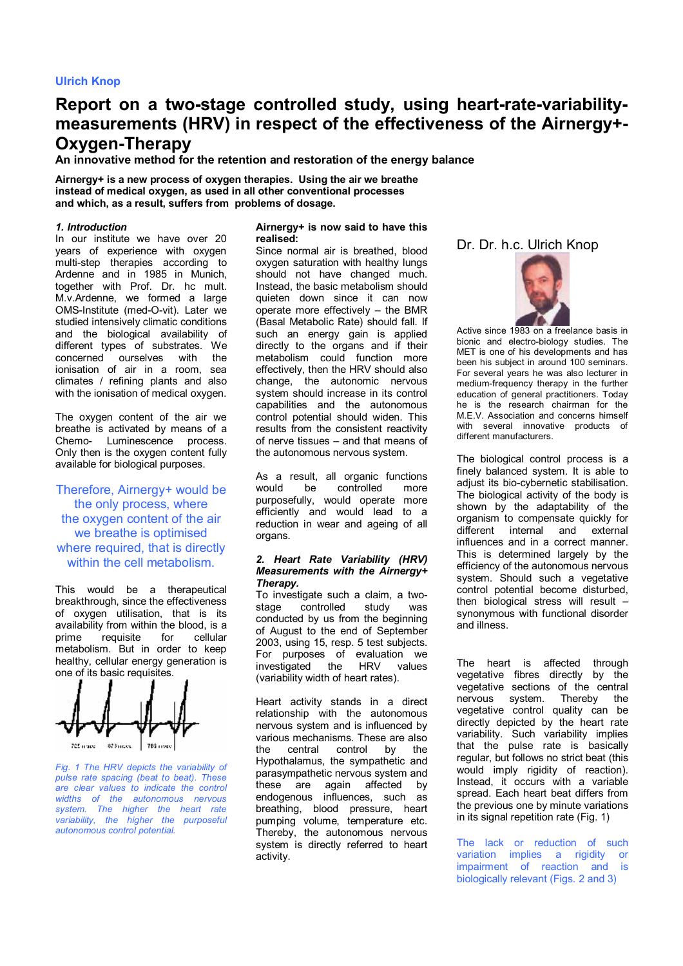# **Ulrich Knop**

# **Report on a two-stage controlled study, using heart-rate-variabilitymeasurements (HRV) in respect of the effectiveness of the Airnergy+- Oxygen-Therapy**

**An innovative method for the retention and restoration of the energy balance** 

**Airnergy+ is a new process of oxygen therapies. Using the air we breathe instead of medical oxygen, as used in all other conventional processes and which, as a result, suffers from problems of dosage.** 

## *1. Introduction*

In our institute we have over 20 years of experience with oxygen multi-step therapies according to Ardenne and in 1985 in Munich, together with Prof. Dr. hc mult. M.v.Ardenne, we formed a large OMS-Institute (med-O-vit). Later we studied intensively climatic conditions and the biological availability of different types of substrates. We concerned ourselves with the ionisation of air in a room, sea climates / refining plants and also with the ionisation of medical oxygen.

The oxygen content of the air we breathe is activated by means of a Chemo- Luminescence process. Only then is the oxygen content fully available for biological purposes.

## Therefore, Airnergy+ would be the only process, where the oxygen content of the air we breathe is optimised where required, that is directly within the cell metabolism.

This would be a therapeutical breakthrough, since the effectiveness of oxygen utilisation, that is its availability from within the blood, is a prime requisite for cellular metabolism. But in order to keep healthy, cellular energy generation is one of its basic requisites.



*Fig. 1 The HRV depicts the variability of pulse rate spacing (beat to beat). These are clear values to indicate the control widths of the autonomous nervous system. The higher the heart rate variability, the higher the purposeful autonomous control potential.* 

#### **Airnergy+ is now said to have this realised:**

Since normal air is breathed, blood oxygen saturation with healthy lungs should not have changed much. Instead, the basic metabolism should quieten down since it can now operate more effectively – the BMR (Basal Metabolic Rate) should fall. If such an energy gain is applied directly to the organs and if their metabolism could function more effectively, then the HRV should also change, the autonomic nervous system should increase in its control capabilities and the autonomous control potential should widen. This results from the consistent reactivity of nerve tissues – and that means of the autonomous nervous system.

As a result, all organic functions would be controlled more purposefully, would operate more efficiently and would lead to a reduction in wear and ageing of all organs.

#### *2. Heart Rate Variability (HRV) Measurements with the Airnergy+ Therapy.*

To investigate such a claim, a twostage controlled study was conducted by us from the beginning of August to the end of September 2003, using 15, resp. 5 test subjects. For purposes of evaluation we<br>investigated the HRV values investigated the HRV values (variability width of heart rates).

Heart activity stands in a direct relationship with the autonomous nervous system and is influenced by various mechanisms. These are also the central control by the Hypothalamus, the sympathetic and parasympathetic nervous system and these are again affected by endogenous influences, such as breathing, blood pressure, heart pumping volume, temperature etc. Thereby, the autonomous nervous system is directly referred to heart activity.

Dr. Dr. h.c. Ulrich Knop



Active since 1983 on a freelance basis in bionic and electro-biology studies. The MET is one of his developments and has been his subject in around 100 seminars. For several years he was also lecturer in medium-frequency therapy in the further education of general practitioners. Today he is the research chairman for the M.E.V. Association and concerns himself with several innovative products of different manufacturers.

The biological control process is a finely balanced system. It is able to adjust its bio-cybernetic stabilisation. The biological activity of the body is shown by the adaptability of the organism to compensate quickly for different internal and external influences and in a correct manner. This is determined largely by the efficiency of the autonomous nervous system. Should such a vegetative control potential become disturbed, then biological stress will result – synonymous with functional disorder and illness.

The heart is affected through vegetative fibres directly by the vegetative sections of the central nervous system. Thereby the vegetative control quality can be directly depicted by the heart rate variability. Such variability implies that the pulse rate is basically regular, but follows no strict beat (this would imply rigidity of reaction). Instead, it occurs with a variable spread. Each heart beat differs from the previous one by minute variations in its signal repetition rate (Fig. 1)

The lack or reduction of such variation implies a rigidity or impairment of reaction and is biologically relevant (Figs. 2 and 3)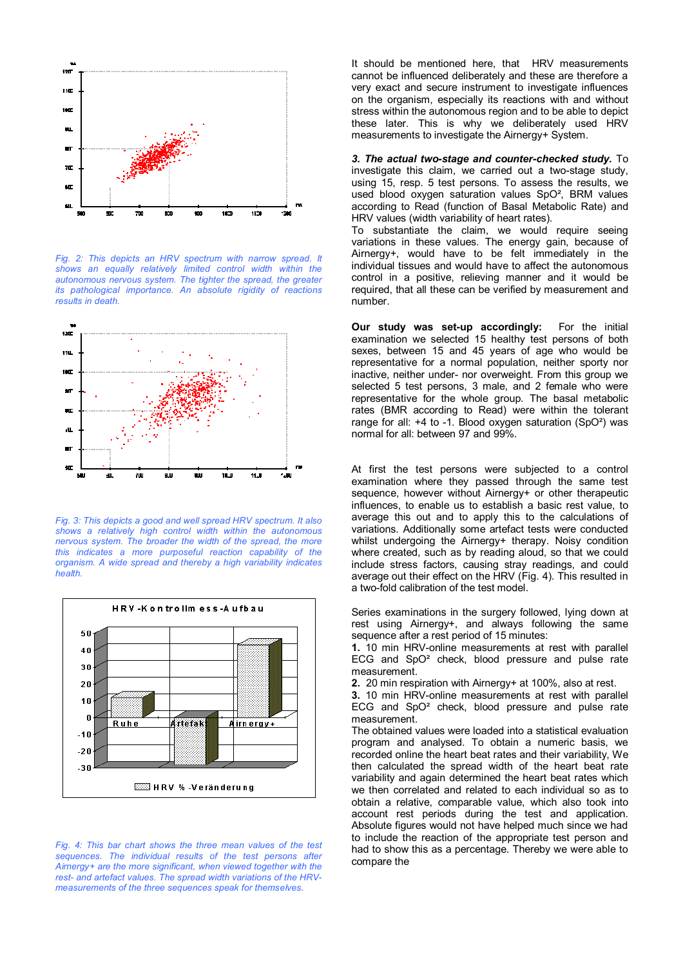

*Fig. 2: This depicts an HRV spectrum with narrow spread. It shows an equally relatively limited control width within the autonomous nervous system. The tighter the spread, the greater its pathological importance. An absolute rigidity of reactions results in death.* 



*Fig. 3: This depicts a good and well spread HRV spectrum. It also shows a relatively high control width within the autonomous nervous system. The broader the width of the spread, the more this indicates a more purposeful reaction capability of the organism. A wide spread and thereby a high variability indicates health.* 



*Fig. 4: This bar chart shows the three mean values of the test sequences. The individual results of the test persons after Airnergy+ are the more significant, when viewed together with the rest- and artefact values. The spread width variations of the HRVmeasurements of the three sequences speak for themselves.* 

It should be mentioned here, that HRV measurements cannot be influenced deliberately and these are therefore a very exact and secure instrument to investigate influences on the organism, especially its reactions with and without stress within the autonomous region and to be able to depict these later. This is why we deliberately used HRV measurements to investigate the Airnergy+ System.

*3. The actual two-stage and counter-checked study.* To investigate this claim, we carried out a two-stage study, using 15, resp. 5 test persons. To assess the results, we used blood oxygen saturation values SpO², BRM values according to Read (function of Basal Metabolic Rate) and HRV values (width variability of heart rates).

To substantiate the claim, we would require seeing variations in these values. The energy gain, because of Airnergy+, would have to be felt immediately in the individual tissues and would have to affect the autonomous control in a positive, relieving manner and it would be required, that all these can be verified by measurement and number.

**Our study was set-up accordingly:** For the initial examination we selected 15 healthy test persons of both sexes, between 15 and 45 years of age who would be representative for a normal population, neither sporty nor inactive, neither under- nor overweight. From this group we selected 5 test persons, 3 male, and 2 female who were representative for the whole group. The basal metabolic rates (BMR according to Read) were within the tolerant range for all: +4 to -1. Blood oxygen saturation (SpO²) was normal for all: between 97 and 99%.

At first the test persons were subjected to a control examination where they passed through the same test sequence, however without Airnergy+ or other therapeutic influences, to enable us to establish a basic rest value, to average this out and to apply this to the calculations of variations. Additionally some artefact tests were conducted whilst undergoing the Airnergy+ therapy. Noisy condition where created, such as by reading aloud, so that we could include stress factors, causing stray readings, and could average out their effect on the HRV (Fig. 4). This resulted in a two-fold calibration of the test model.

Series examinations in the surgery followed, lying down at rest using Airnergy+, and always following the same sequence after a rest period of 15 minutes:

**1.** 10 min HRV-online measurements at rest with parallel ECG and SpO² check, blood pressure and pulse rate measurement.

**2.** 20 min respiration with Airnergy+ at 100%, also at rest.

**3.** 10 min HRV-online measurements at rest with parallel ECG and SpO² check, blood pressure and pulse rate measurement.

The obtained values were loaded into a statistical evaluation program and analysed. To obtain a numeric basis, we recorded online the heart beat rates and their variability, We then calculated the spread width of the heart beat rate variability and again determined the heart beat rates which we then correlated and related to each individual so as to obtain a relative, comparable value, which also took into account rest periods during the test and application. Absolute figures would not have helped much since we had to include the reaction of the appropriate test person and had to show this as a percentage. Thereby we were able to compare the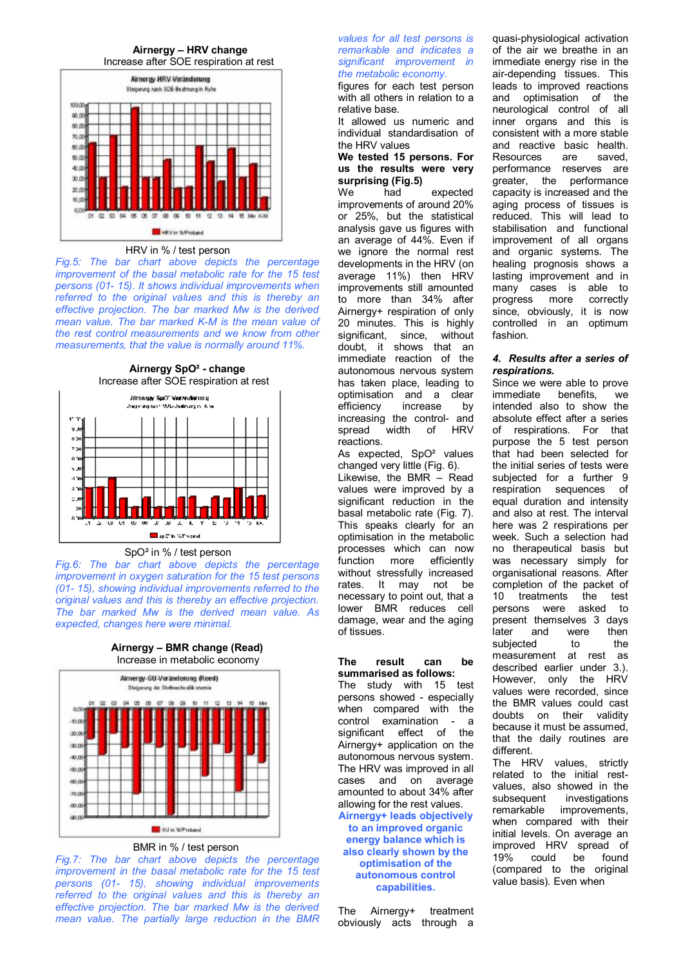



#### HRV in % / test person

*Fig.5: The bar chart above depicts the percentage improvement of the basal metabolic rate for the 15 test persons (01- 15). It shows individual improvements when referred to the original values and this is thereby an effective projection. The bar marked Mw is the derived mean value. The bar marked K-M is the mean value of the rest control measurements and we know from other measurements, that the value is normally around 11%.* 

**Airnergy SpO² - change** Increase after SOE respiration at rest



#### SpO² in % / test person

*Fig.6: The bar chart above depicts the percentage improvement in oxygen saturation for the 15 test persons (01- 15), showing individual improvements referred to the original values and this is thereby an effective projection. The bar marked Mw is the derived mean value. As expected, changes here were minimal.* 

**Airnergy – BMR change (Read)** Increase in metabolic economy



## BMR in % / test person

*Fig.7: The bar chart above depicts the percentage improvement in the basal metabolic rate for the 15 test persons (01- 15), showing individual improvements referred to the original values and this is thereby an effective projection. The bar marked Mw is the derived mean value. The partially large reduction in the BMR* 

#### *values for all test persons is remarkable and indicates a significant improvement in the metabolic economy.*

figures for each test person with all others in relation to a relative base.

It allowed us numeric and individual standardisation of the HRV values

#### **We tested 15 persons. For us the results were very surprising (Fig.5)**

We had expected improvements of around 20% or 25%, but the statistical analysis gave us figures with an average of 44%. Even if we ignore the normal rest developments in the HRV (on average 11%) then HRV improvements still amounted to more than 34% after Airnergy+ respiration of only 20 minutes. This is highly significant, since, without doubt, it shows that an immediate reaction of the autonomous nervous system has taken place, leading to optimisation and a clear<br>efficiency increase by efficiency increasing the control- and spread width of HRV reactions.

As expected, SpO<sup>2</sup> values changed very little (Fig. 6). Likewise, the BMR – Read values were improved by a significant reduction in the basal metabolic rate (Fig. 7). This speaks clearly for an optimisation in the metabolic processes which can now function more efficiently without stressfully increased rates. It may not be necessary to point out, that a lower BMR reduces cell damage, wear and the aging of tissues.

#### **The result can be summarised as follows:**

The study with 15 test persons showed - especially when compared with the control examination - a significant effect of the Airnergy+ application on the autonomous nervous system. The HRV was improved in all cases and on average amounted to about 34% after allowing for the rest values. **Airnergy+ leads objectively to an improved organic energy balance which is also clearly shown by the optimisation of the autonomous control capabilities.** 

The Airnergy+ treatment obviously acts through a

quasi-physiological activation of the air we breathe in an immediate energy rise in the air-depending tissues. This leads to improved reactions and optimisation of the neurological control of all inner organs and this is consistent with a more stable and reactive basic health. Resources are saved, performance reserves are greater, the performance capacity is increased and the aging process of tissues is reduced. This will lead to stabilisation and functional improvement of all organs and organic systems. The healing prognosis shows a lasting improvement and in many cases is able to progress more correctly since, obviously, it is now controlled in an optimum fashion.

## *4. Results after a series of respirations.*

Since we were able to prove immediate benefits, we intended also to show the absolute effect after a series of respirations. For that purpose the 5 test person that had been selected for the initial series of tests were subjected for a further 9 respiration sequences of equal duration and intensity and also at rest. The interval here was 2 respirations per week. Such a selection had no therapeutical basis but was necessary simply for organisational reasons. After completion of the packet of 10 treatments the test persons were asked to present themselves 3 days later and were then subjected to the measurement at rest as described earlier under 3.). However, only the HRV values were recorded, since the BMR values could cast doubts on their validity because it must be assumed, that the daily routines are different.

The HRV values, strictly related to the initial restvalues, also showed in the subsequent investigations remarkable improvements, when compared with their initial levels. On average an improved HRV spread of 19% could be found (compared to the original value basis). Even when